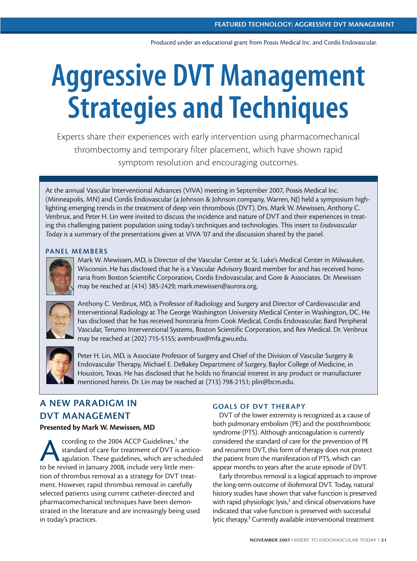Produced under an educational grant from Possis Medical Inc. and Cordis Endovascular.

# **Aggressive DVT Management Strategies and Techniques**

Experts share their experiences with early intervention using pharmacomechanical thrombectomy and temporary filter placement, which have shown rapid symptom resolution and encouraging outcomes.

At the annual Vascular Interventional Advances (VIVA) meeting in September 2007, Possis Medical Inc. (Minneapolis, MN) and Cordis Endovascular (a Johnson & Johnson company, Warren, NJ) held a symposium highlighting emerging trends in the treatment of deep vein thrombosis (DVT). Drs. Mark W. Mewissen, Anthony C. Venbrux, and Peter H. Lin were invited to discuss the incidence and nature of DVT and their experiences in treating this challenging patient population using today's techniques and technologies. This insert to *Endovascular Today* is a summary of the presentations given at VIVA '07 and the discussion shared by the panel.

#### **PANEL MEMBERS**



Mark W. Mewissen, MD, is Director of the Vascular Center at St. Luke's Medical Center in Milwaukee, Wisconsin. He has disclosed that he is a Vascular Advisory Board member for and has received honoraria from Boston Scientific Corporation, Cordis Endovascular, and Gore & Associates. Dr. Mewissen may be reached at (414) 385-2429; mark.mewissen@aurora.org.



Anthony C. Venbrux, MD, is Professor of Radiology and Surgery and Director of Cardiovascular and Interventional Radiology at The George Washington University Medical Center in Washington, DC. He has disclosed that he has received honoraria from Cook Medical, Cordis Endovascular, Bard Peripheral Vascular, Terumo Interventional Systems, Boston Scientific Corporation, and Rex Medical. Dr. Venbrux may be reached at (202) 715-5155; avenbrux@mfa.gwu.edu.



Peter H. Lin, MD, is Associate Professor of Surgery and Chief of the Division of Vascular Surgery & Endovascular Therapy, Michael E. DeBakey Department of Surgery, Baylor College of Medicine, in Houston, Texas. He has disclosed that he holds no financial interest in any product or manufacturer mentioned herein. Dr. Lin may be reached at (713) 798-2151; plin@bcm.edu.

## **A NEW PARADIGM IN DVT MANAGEMENT**

#### **Presented by Mark W. Mewissen, MD**

ccording to the 2004 ACCP Guidelines,<sup>1</sup> the<br>standard of care for treatment of DVT is an<br>agulation. These guidelines, which are schee<br>to be revised in January 2008, include very little me standard of care for treatment of DVT is anticoagulation. These guidelines, which are scheduled to be revised in January 2008, include very little mention of thrombus removal as a strategy for DVT treatment. However, rapid thrombus removal in carefully selected patients using current catheter-directed and pharmacomechanical techniques have been demonstrated in the literature and are increasingly being used in today's practices.

#### **GOALS OF DVT THERAPY**

DVT of the lower extremity is recognized as a cause of both pulmonary embolism (PE) and the postthrombotic syndrome (PTS). Although anticoagulation is currently considered the standard of care for the prevention of PE and recurrent DVT, this form of therapy does not protect the patient from the manifestation of PTS, which can appear months to years after the acute episode of DVT.

Early thrombus removal is a logical approach to improve the long-term outcome of iliofemoral DVT. Today, natural history studies have shown that valve function is preserved with rapid physiologic lysis, $<sup>2</sup>$  and clinical observations have</sup> indicated that valve function is preserved with successful lytic therapy.<sup>3</sup> Currently available interventional treatment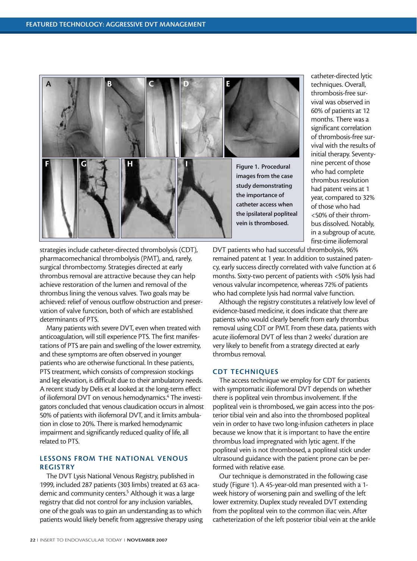

catheter-directed lytic techniques. Overall, thrombosis-free survival was observed in 60% of patients at 12 months. There was a significant correlation of thrombosis-free survival with the results of initial therapy. Seventynine percent of those who had complete thrombus resolution had patent veins at 1 year, compared to 32% of those who had <50% of their thrombus dissolved. Notably, in a subgroup of acute, first-time iliofemoral

strategies include catheter-directed thrombolysis (CDT), pharmacomechanical thrombolysis (PMT), and, rarely, surgical thrombectomy. Strategies directed at early thrombus removal are attractive because they can help achieve restoration of the lumen and removal of the thrombus lining the venous valves. Two goals may be achieved: relief of venous outflow obstruction and preservation of valve function, both of which are established determinants of PTS.

Many patients with severe DVT, even when treated with anticoagulation, will still experience PTS. The first manifestations of PTS are pain and swelling of the lower extremity, and these symptoms are often observed in younger patients who are otherwise functional. In these patients, PTS treatment, which consists of compression stockings and leg elevation, is difficult due to their ambulatory needs. A recent study by Delis et al looked at the long-term effect of iliofemoral DVT on venous hemodynamics.4 The investigators concluded that venous claudication occurs in almost 50% of patients with iliofemoral DVT, and it limits ambulation in close to 20%. There is marked hemodynamic impairment and significantly reduced quality of life, all related to PTS.

#### **LESSONS FROM THE NATIONAL VENOUS REGISTRY**

The DVT Lysis National Venous Registry, published in 1999, included 287 patients (303 limbs) treated at 63 academic and community centers.<sup>5</sup> Although it was a large registry that did not control for any inclusion variables, one of the goals was to gain an understanding as to which patients would likely benefit from aggressive therapy using DVT patients who had successful thrombolysis, 96% remained patent at 1 year. In addition to sustained patency, early success directly correlated with valve function at 6 months. Sixty-two percent of patients with <50% lysis had venous valvular incompetence, whereas 72% of patients who had complete lysis had normal valve function.

Although the registry constitutes a relatively low level of evidence-based medicine, it does indicate that there are patients who would clearly benefit from early thrombus removal using CDT or PMT. From these data, patients with acute iliofemoral DVT of less than 2 weeks' duration are very likely to benefit from a strategy directed at early thrombus removal.

#### **CDT TECHNIQUES**

The access technique we employ for CDT for patients with symptomatic iliofemoral DVT depends on whether there is popliteal vein thrombus involvement. If the popliteal vein is thrombosed, we gain access into the posterior tibial vein and also into the thrombosed popliteal vein in order to have two long-infusion catheters in place because we know that it is important to have the entire thrombus load impregnated with lytic agent. If the popliteal vein is not thrombosed, a popliteal stick under ultrasound guidance with the patient prone can be performed with relative ease.

Our technique is demonstrated in the following case study (Figure 1). A 45-year-old man presented with a 1 week history of worsening pain and swelling of the left lower extremity. Duplex study revealed DVT extending from the popliteal vein to the common iliac vein. After catheterization of the left posterior tibial vein at the ankle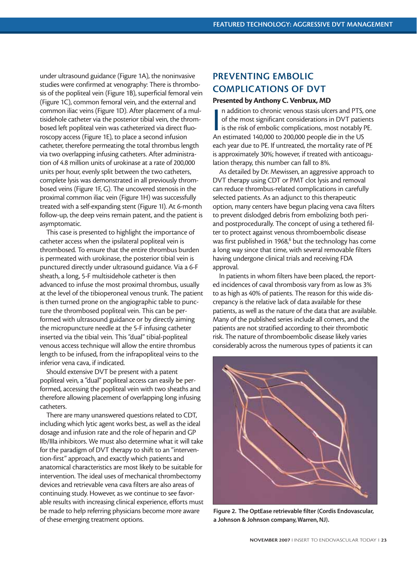under ultrasound guidance (Figure 1A), the noninvasive studies were confirmed at venography: There is thrombosis of the popliteal vein (Figure 1B), superficial femoral vein (Figure 1C), common femoral vein, and the external and common iliac veins (Figure 1D). After placement of a multisidehole catheter via the posterior tibial vein, the thrombosed left popliteal vein was catheterized via direct fluoroscopy access (Figure 1E), to place a second infusion catheter, therefore permeating the total thrombus length via two overlapping infusing catheters. After administration of 4.8 million units of urokinase at a rate of 200,000 units per hour, evenly split between the two catheters, complete lysis was demonstrated in all previously thrombosed veins (Figure 1F, G). The uncovered stenosis in the proximal common iliac vein (Figure 1H) was successfully treated with a self-expanding stent (Figure 1I). At 6-month follow-up, the deep veins remain patent, and the patient is asymptomatic.

This case is presented to highlight the importance of catheter access when the ipsilateral popliteal vein is thrombosed. To ensure that the entire thrombus burden is permeated with urokinase, the posterior tibial vein is punctured directly under ultrasound guidance. Via a 6-F sheath, a long, 5-F multisidehole catheter is then advanced to infuse the most proximal thrombus, usually at the level of the tibioperoneal venous trunk. The patient is then turned prone on the angiographic table to puncture the thrombosed popliteal vein. This can be performed with ultrasound guidance or by directly aiming the micropuncture needle at the 5-F infusing catheter inserted via the tibial vein. This "dual" tibial-popliteal venous access technique will allow the entire thrombus length to be infused, from the infrapopliteal veins to the inferior vena cava, if indicated.

Should extensive DVT be present with a patent popliteal vein, a "dual" popliteal access can easily be performed, accessing the popliteal vein with two sheaths and therefore allowing placement of overlapping long infusing catheters.

There are many unanswered questions related to CDT, including which lytic agent works best, as well as the ideal dosage and infusion rate and the role of heparin and GP IIb/IIIa inhibitors. We must also determine what it will take for the paradigm of DVT therapy to shift to an "intervention-first" approach, and exactly which patients and anatomical characteristics are most likely to be suitable for intervention. The ideal uses of mechanical thrombectomy devices and retrievable vena cava filters are also areas of continuing study. However, as we continue to see favorable results with increasing clinical experience, efforts must be made to help referring physicians become more aware of these emerging treatment options.

## **PREVENTING EMBOLIC COMPLICATIONS OF DVT**

#### **Presented by Anthony C. Venbrux, MD**

In addition to chronic venous stasis ulcers and PTS,<br>of the most significant considerations in DVT patie<br>is the risk of embolic complications, most notably<br>An estimated 140,000 to 200,000 people die in the US n addition to chronic venous stasis ulcers and PTS, one of the most significant considerations in DVT patients is the risk of embolic complications, most notably PE. each year due to PE. If untreated, the mortality rate of PE is approximately 30%; however, if treated with anticoagulation therapy, this number can fall to 8%.

As detailed by Dr. Mewissen, an aggressive approach to DVT therapy using CDT or PMT clot lysis and removal can reduce thrombus-related complications in carefully selected patients. As an adjunct to this therapeutic option, many centers have begun placing vena cava filters to prevent dislodged debris from embolizing both periand postprocedurally. The concept of using a tethered filter to protect against venous thromboembolic disease was first published in 1968,<sup>6</sup> but the technology has come a long way since that time, with several removable filters having undergone clinical trials and receiving FDA approval.

In patients in whom filters have been placed, the reported incidences of caval thrombosis vary from as low as 3% to as high as 40% of patients. The reason for this wide discrepancy is the relative lack of data available for these patients, as well as the nature of the data that are available. Many of the published series include all comers, and the patients are not stratified according to their thrombotic risk. The nature of thromboembolic disease likely varies considerably across the numerous types of patients it can



**Figure 2. The OptEase retrievable filter (Cordis Endovascular, a Johnson & Johnson company, Warren, NJ).**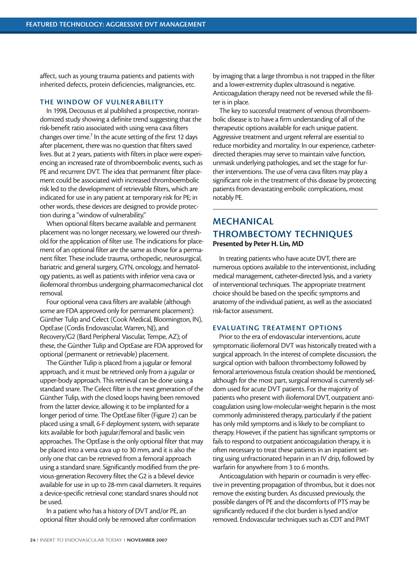affect, such as young trauma patients and patients with inherited defects, protein deficiencies, malignancies, etc.

#### **THE WINDOW OF VULNERABILITY**

In 1998, Decousus et al published a prospective, nonrandomized study showing a definite trend suggesting that the risk-benefit ratio associated with using vena cava filters changes over time.<sup>7</sup> In the acute setting of the first 12 days after placement, there was no question that filters saved lives. But at 2 years, patients with filters in place were experiencing an increased rate of thromboembolic events, such as PE and recurrent DVT. The idea that permanent filter placement could be associated with increased thromboembolic risk led to the development of retrievable filters, which are indicated for use in any patient at temporary risk for PE; in other words, these devices are designed to provide protection during a "window of vulnerability."

When optional filters became available and permanent placement was no longer necessary, we lowered our threshold for the application of filter use. The indications for placement of an optional filter are the same as those for a permanent filter. These include trauma, orthopedic, neurosurgical, bariatric and general surgery, GYN, oncology, and hematology patients, as well as patients with inferior vena cava or iliofemoral thrombus undergoing pharmacomechanical clot removal.

Four optional vena cava filters are available (although some are FDA approved only for permanent placement): Günther Tulip and Celect (Cook Medical, Bloomington, IN), OptEase (Cordis Endovascular, Warren, NJ), and Recovery/G2 (Bard Peripheral Vascular, Tempe, AZ); of these, the Günther Tulip and OptEase are FDA approved for optional (permanent or retrievable) placement.

The Günther Tulip is placed from a jugular or femoral approach, and it must be retrieved only from a jugular or upper-body approach. This retrieval can be done using a standard snare. The Celect filter is the next generation of the Günther Tulip, with the closed loops having been removed from the latter device, allowing it to be implanted for a longer period of time. The OptEase filter (Figure 2) can be placed using a small, 6-F deployment system, with separate kits available for both jugular/femoral and basilic vein approaches. The OptEase is the only optional filter that may be placed into a vena cava up to 30 mm, and it is also the only one that can be retrieved from a femoral approach using a standard snare. Significantly modified from the previous-generation Recovery filter, the G2 is a bilevel device available for use in up to 28-mm caval diameters. It requires a device-specific retrieval cone; standard snares should not be used.

In a patient who has a history of DVT and/or PE, an optional filter should only be removed after confirmation by imaging that a large thrombus is not trapped in the filter and a lower-extremity duplex ultrasound is negative. Anticoagulation therapy need not be reversed while the filter is in place.

The key to successful treatment of venous thromboembolic disease is to have a firm understanding of all of the therapeutic options available for each unique patient. Aggressive treatment and urgent referral are essential to reduce morbidity and mortality. In our experience, catheterdirected therapies may serve to maintain valve function, unmask underlying pathologies, and set the stage for further interventions. The use of vena cava filters may play a significant role in the treatment of this disease by protecting patients from devastating embolic complications, most notably PE.

### **MECHANICAL THROMBECTOMY TECHNIQUES Presented by Peter H. Lin, MD**

In treating patients who have acute DVT, there are numerous options available to the interventionist, including medical management, catheter-directed lysis, and a variety of interventional techniques. The appropriate treatment choice should be based on the specific symptoms and anatomy of the individual patient, as well as the associated risk-factor assessment.

#### **EVALUATING TREATMENT OPTIONS**

Prior to the era of endovascular interventions, acute symptomatic iliofemoral DVT was historically treated with a surgical approach. In the interest of complete discussion, the surgical option with balloon thrombectomy followed by femoral arteriovenous fistula creation should be mentioned, although for the most part, surgical removal is currently seldom used for acute DVT patients. For the majority of patients who present with iliofemoral DVT, outpatient anticoagulation using low-molecular-weight heparin is the most commonly administered therapy, particularly if the patient has only mild symptoms and is likely to be compliant to therapy. However, if the patient has significant symptoms or fails to respond to outpatient anticoagulation therapy, it is often necessary to treat these patients in an inpatient setting using unfractionated heparin in an IV drip, followed by warfarin for anywhere from 3 to 6 months.

Anticoagulation with heparin or coumadin is very effective in preventing propagation of thrombus, but it does not remove the existing burden. As discussed previously, the possible dangers of PE and the discomforts of PTS may be significantly reduced if the clot burden is lysed and/or removed. Endovascular techniques such as CDT and PMT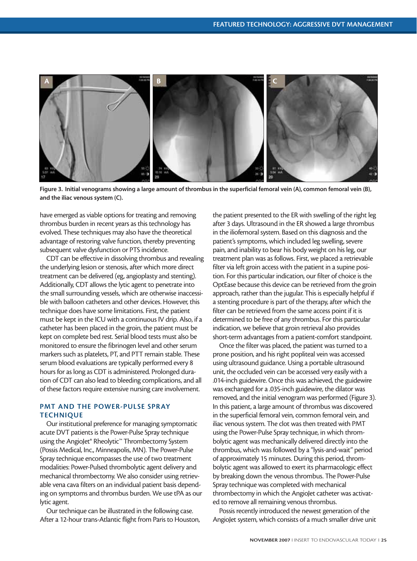

**Figure 3. Initial venograms showing a large amount of thrombus in the superficial femoral vein (A), common femoral vein (B), and the iliac venous system (C).**

have emerged as viable options for treating and removing thrombus burden in recent years as this technology has evolved. These techniques may also have the theoretical advantage of restoring valve function, thereby preventing subsequent valve dysfunction or PTS incidence.

CDT can be effective in dissolving thrombus and revealing the underlying lesion or stenosis, after which more direct treatment can be delivered (eg, angioplasty and stenting). Additionally, CDT allows the lytic agent to penetrate into the small surrounding vessels, which are otherwise inaccessible with balloon catheters and other devices. However, this technique does have some limitations. First, the patient must be kept in the ICU with a continuous IV drip. Also, if a catheter has been placed in the groin, the patient must be kept on complete bed rest. Serial blood tests must also be monitored to ensure the fibrinogen level and other serum markers such as platelets, PT, and PTT remain stable. These serum blood evaluations are typically performed every 8 hours for as long as CDT is administered. Prolonged duration of CDT can also lead to bleeding complications, and all of these factors require extensive nursing care involvement.

#### **PMT AND THE POWER-PULSE SPRAY TECHNIQUE**

Our institutional preference for managing symptomatic acute DVT patients is the Power-Pulse Spray technique using the AngioJet® Rheolytic™ Thrombectomy System (Possis Medical, Inc., Minneapolis, MN). The Power-Pulse Spray technique encompasses the use of two treatment modalities: Power-Pulsed thrombolytic agent delivery and mechanical thrombectomy. We also consider using retrievable vena cava filters on an individual patient basis depending on symptoms and thrombus burden. We use tPA as our lytic agent.

Our technique can be illustrated in the following case. After a 12-hour trans-Atlantic flight from Paris to Houston,

the patient presented to the ER with swelling of the right leg after 3 days. Ultrasound in the ER showed a large thrombus in the iliofemoral system. Based on this diagnosis and the patient's symptoms, which included leg swelling, severe pain, and inability to bear his body weight on his leg, our treatment plan was as follows. First, we placed a retrievable filter via left groin access with the patient in a supine position. For this particular indication, our filter of choice is the OptEase because this device can be retrieved from the groin approach, rather than the jugular. This is especially helpful if a stenting procedure is part of the therapy, after which the filter can be retrieved from the same access point if it is determined to be free of any thrombus. For this particular indication, we believe that groin retrieval also provides short-term advantages from a patient-comfort standpoint.

Once the filter was placed, the patient was turned to a prone position, and his right popliteal vein was accessed using ultrasound guidance. Using a portable ultrasound unit, the occluded vein can be accessed very easily with a .014-inch guidewire. Once this was achieved, the guidewire was exchanged for a .035-inch guidewire, the dilator was removed, and the initial venogram was performed (Figure 3). In this patient, a large amount of thrombus was discovered in the superficial femoral vein, common femoral vein, and iliac venous system. The clot was then treated with PMT using the Power-Pulse Spray technique, in which thrombolytic agent was mechanically delivered directly into the thrombus, which was followed by a "lysis-and-wait" period of approximately 15 minutes. During this period, thrombolytic agent was allowed to exert its pharmacologic effect by breaking down the venous thrombus. The Power-Pulse Spray technique was completed with mechanical thrombectomy in which the AngioJet catheter was activated to remove all remaining venous thrombus.

Possis recently introduced the newest generation of the AngioJet system, which consists of a much smaller drive unit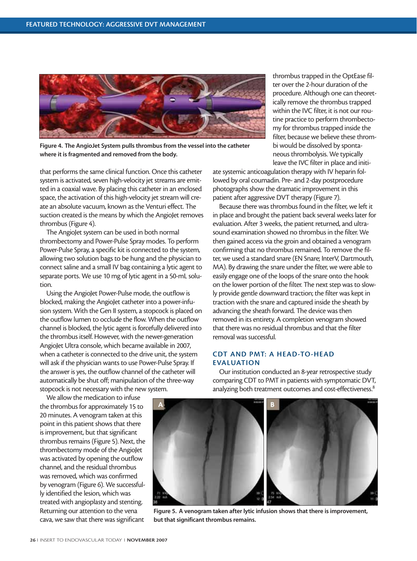

**Figure 4. The AngioJet System pulls thrombus from the vessel into the catheter where it is fragmented and removed from the body.**

that performs the same clinical function. Once this catheter system is activated, seven high-velocity jet streams are emitted in a coaxial wave. By placing this catheter in an enclosed space, the activation of this high-velocity jet stream will create an absolute vacuum, known as the Venturi effect. The suction created is the means by which the AngioJet removes thrombus (Figure 4).

The AngioJet system can be used in both normal thrombectomy and Power-Pulse Spray modes. To perform Power-Pulse Spray, a specific kit is connected to the system, allowing two solution bags to be hung and the physician to connect saline and a small IV bag containing a lytic agent to separate ports. We use 10 mg of lytic agent in a 50-mL solution.

Using the AngioJet Power-Pulse mode, the outflow is blocked, making the AngioJet catheter into a power-infusion system. With the Gen II system, a stopcock is placed on the outflow lumen to occlude the flow. When the outflow channel is blocked, the lytic agent is forcefully delivered into the thrombus itself. However, with the newer-generation AngioJet Ultra console, which became available in 2007, when a catheter is connected to the drive unit, the system will ask if the physician wants to use Power-Pulse Spray. If the answer is yes, the outflow channel of the catheter will automatically be shut off; manipulation of the three-way stopcock is not necessary with the new system.

We allow the medication to infuse the thrombus for approximately 15 to 20 minutes. A venogram taken at this point in this patient shows that there is improvement, but that significant thrombus remains (Figure 5). Next, the thrombectomy mode of the AngioJet was activated by opening the outflow channel, and the residual thrombus was removed, which was confirmed by venogram (Figure 6). We successfully identified the lesion, which was treated with angioplasty and stenting. Returning our attention to the vena cava, we saw that there was significant

thrombus trapped in the OptEase filter over the 2-hour duration of the procedure. Although one can theoretically remove the thrombus trapped within the IVC filter, it is not our routine practice to perform thrombectomy for thrombus trapped inside the filter, because we believe these thrombi would be dissolved by spontaneous thrombolysis. We typically leave the IVC filter in place and initi-

ate systemic anticoagulation therapy with IV heparin followed by oral coumadin. Pre- and 2-day postprocedure photographs show the dramatic improvement in this patient after aggressive DVT therapy (Figure 7).

Because there was thrombus found in the filter, we left it in place and brought the patient back several weeks later for evaluation. After 3 weeks, the patient returned, and ultrasound examination showed no thrombus in the filter. We then gained access via the groin and obtained a venogram confirming that no thrombus remained. To remove the filter, we used a standard snare (EN Snare; InterV, Dartmouth, MA). By drawing the snare under the filter, we were able to easily engage one of the loops of the snare onto the hook on the lower portion of the filter. The next step was to slowly provide gentle downward traction; the filter was kept in traction with the snare and captured inside the sheath by advancing the sheath forward. The device was then removed in its entirety. A completion venogram showed that there was no residual thrombus and that the filter removal was successful.

#### **CDT AND PMT: A HEAD-TO-HEAD EVALUATION**

Our institution conducted an 8-year retrospective study comparing CDT to PMT in patients with symptomatic DVT, analyzing both treatment outcomes and cost-effectiveness.<sup>8</sup>



**Figure 5. A venogram taken after lytic infusion shows that there is improvement, but that significant thrombus remains.**